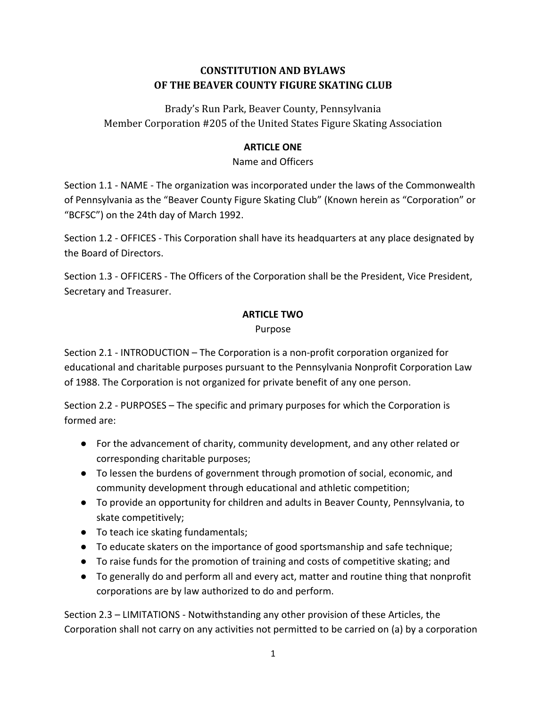# **CONSTITUTION AND BYLAWS OF THE BEAVER COUNTY FIGURE SKATING CLUB**

Brady's Run Park, Beaver County, Pennsylvania Member Corporation #205 of the United States Figure Skating Association

# **ARTICLE ONE**

Name and Officers

Section 1.1 - NAME - The organization was incorporated under the laws of the Commonwealth of Pennsylvania as the "Beaver County Figure Skating Club" (Known herein as "Corporation" or "BCFSC") on the 24th day of March 1992.

Section 1.2 - OFFICES - This Corporation shall have its headquarters at any place designated by the Board of Directors.

Section 1.3 - OFFICERS - The Officers of the Corporation shall be the President, Vice President, Secretary and Treasurer.

# **ARTICLE TWO**

Purpose

Section 2.1 - INTRODUCTION – The Corporation is a non-profit corporation organized for educational and charitable purposes pursuant to the Pennsylvania Nonprofit Corporation Law of 1988. The Corporation is not organized for private benefit of any one person.

Section 2.2 - PURPOSES – The specific and primary purposes for which the Corporation is formed are:

- For the advancement of charity, community development, and any other related or corresponding charitable purposes;
- To lessen the burdens of government through promotion of social, economic, and community development through educational and athletic competition;
- To provide an opportunity for children and adults in Beaver County, Pennsylvania, to skate competitively;
- To teach ice skating fundamentals;
- To educate skaters on the importance of good sportsmanship and safe technique;
- To raise funds for the promotion of training and costs of competitive skating; and
- To generally do and perform all and every act, matter and routine thing that nonprofit corporations are by law authorized to do and perform.

Section 2.3 – LIMITATIONS - Notwithstanding any other provision of these Articles, the Corporation shall not carry on any activities not permitted to be carried on (a) by a corporation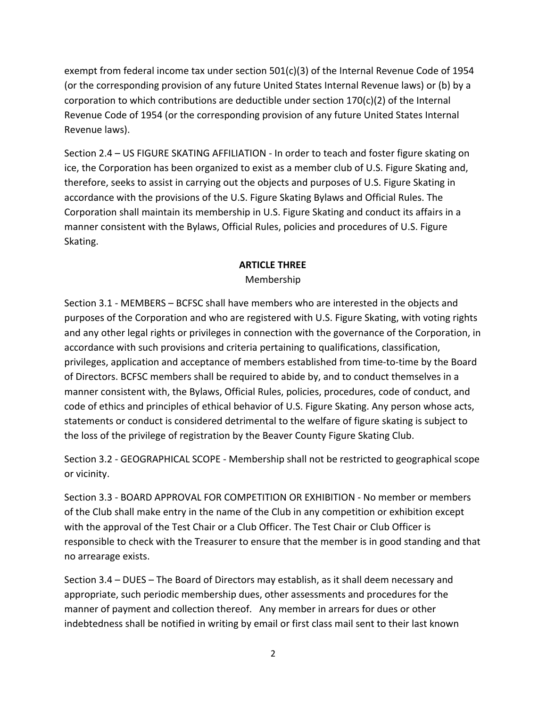exempt from federal income tax under section 501(c)(3) of the Internal Revenue Code of 1954 (or the corresponding provision of any future United States Internal Revenue laws) or (b) by a corporation to which contributions are deductible under section 170(c)(2) of the Internal Revenue Code of 1954 (or the corresponding provision of any future United States Internal Revenue laws).

Section 2.4 – US FIGURE SKATING AFFILIATION - In order to teach and foster figure skating on ice, the Corporation has been organized to exist as a member club of U.S. Figure Skating and, therefore, seeks to assist in carrying out the objects and purposes of U.S. Figure Skating in accordance with the provisions of the U.S. Figure Skating Bylaws and Official Rules. The Corporation shall maintain its membership in U.S. Figure Skating and conduct its affairs in a manner consistent with the Bylaws, Official Rules, policies and procedures of U.S. Figure Skating.

## **ARTICLE THREE**

Membership

Section 3.1 - MEMBERS – BCFSC shall have members who are interested in the objects and purposes of the Corporation and who are registered with U.S. Figure Skating, with voting rights and any other legal rights or privileges in connection with the governance of the Corporation, in accordance with such provisions and criteria pertaining to qualifications, classification, privileges, application and acceptance of members established from time-to-time by the Board of Directors. BCFSC members shall be required to abide by, and to conduct themselves in a manner consistent with, the Bylaws, Official Rules, policies, procedures, code of conduct, and code of ethics and principles of ethical behavior of U.S. Figure Skating. Any person whose acts, statements or conduct is considered detrimental to the welfare of figure skating is subject to the loss of the privilege of registration by the Beaver County Figure Skating Club.

Section 3.2 - GEOGRAPHICAL SCOPE - Membership shall not be restricted to geographical scope or vicinity.

Section 3.3 - BOARD APPROVAL FOR COMPETITION OR EXHIBITION - No member or members of the Club shall make entry in the name of the Club in any competition or exhibition except with the approval of the Test Chair or a Club Officer. The Test Chair or Club Officer is responsible to check with the Treasurer to ensure that the member is in good standing and that no arrearage exists.

Section 3.4 – DUES – The Board of Directors may establish, as it shall deem necessary and appropriate, such periodic membership dues, other assessments and procedures for the manner of payment and collection thereof. Any member in arrears for dues or other indebtedness shall be notified in writing by email or first class mail sent to their last known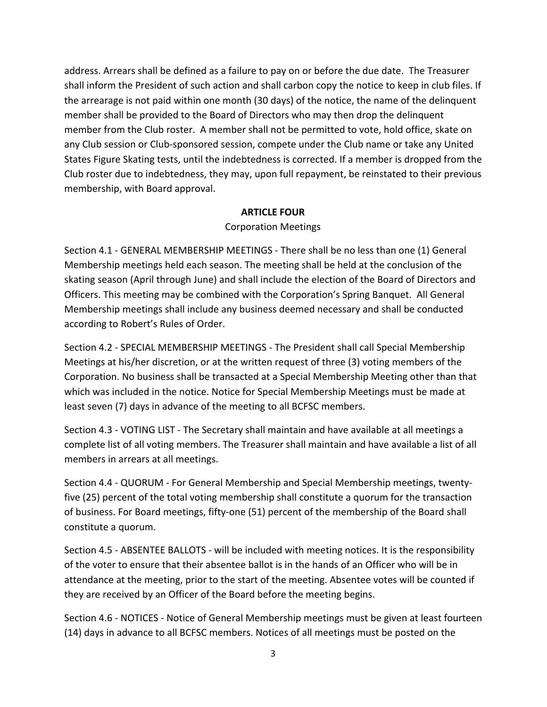address. Arrears shall be defined as a failure to pay on or before the due date. The Treasurer shall inform the President of such action and shall carbon copy the notice to keep in club files. If the arrearage is not paid within one month (30 days) of the notice, the name of the delinquent member shall be provided to the Board of Directors who may then drop the delinquent member from the Club roster. A member shall not be permitted to vote, hold office, skate on any Club session or Club-sponsored session, compete under the Club name or take any United States Figure Skating tests, until the indebtedness is corrected. If a member is dropped from the Club roster due to indebtedness, they may, upon full repayment, be reinstated to their previous membership, with Board approval.

#### **ARTICLE FOUR**

#### Corporation Meetings

Section 4.1 - GENERAL MEMBERSHIP MEETINGS - There shall be no less than one (1) General Membership meetings held each season. The meeting shall be held at the conclusion of the skating season (April through June) and shall include the election of the Board of Directors and Officers. This meeting may be combined with the Corporation's Spring Banquet. All General Membership meetings shall include any business deemed necessary and shall be conducted according to Robert's Rules of Order.

Section 4.2 - SPECIAL MEMBERSHIP MEETINGS - The President shall call Special Membership Meetings at his/her discretion, or at the written request of three (3) voting members of the Corporation. No business shall be transacted at a Special Membership Meeting other than that which was included in the notice. Notice for Special Membership Meetings must be made at least seven (7) days in advance of the meeting to all BCFSC members.

Section 4.3 - VOTING LIST - The Secretary shall maintain and have available at all meetings a complete list of all voting members. The Treasurer shall maintain and have available a list of all members in arrears at all meetings.

Section 4.4 - QUORUM - For General Membership and Special Membership meetings, twentyfive (25) percent of the total voting membership shall constitute a quorum for the transaction of business. For Board meetings, fifty-one (51) percent of the membership of the Board shall constitute a quorum.

Section 4.5 - ABSENTEE BALLOTS - will be included with meeting notices. It is the responsibility of the voter to ensure that their absentee ballot is in the hands of an Officer who will be in attendance at the meeting, prior to the start of the meeting. Absentee votes will be counted if they are received by an Officer of the Board before the meeting begins.

Section 4.6 - NOTICES - Notice of General Membership meetings must be given at least fourteen (14) days in advance to all BCFSC members. Notices of all meetings must be posted on the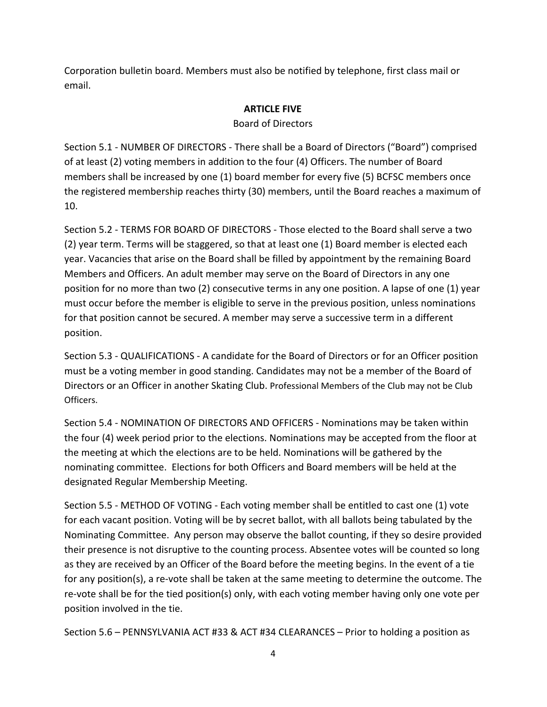Corporation bulletin board. Members must also be notified by telephone, first class mail or email.

#### **ARTICLE FIVE**

#### Board of Directors

Section 5.1 - NUMBER OF DIRECTORS - There shall be a Board of Directors ("Board") comprised of at least (2) voting members in addition to the four (4) Officers. The number of Board members shall be increased by one (1) board member for every five (5) BCFSC members once the registered membership reaches thirty (30) members, until the Board reaches a maximum of 10.

Section 5.2 - TERMS FOR BOARD OF DIRECTORS - Those elected to the Board shall serve a two (2) year term. Terms will be staggered, so that at least one (1) Board member is elected each year. Vacancies that arise on the Board shall be filled by appointment by the remaining Board Members and Officers. An adult member may serve on the Board of Directors in any one position for no more than two (2) consecutive terms in any one position. A lapse of one (1) year must occur before the member is eligible to serve in the previous position, unless nominations for that position cannot be secured. A member may serve a successive term in a different position.

Section 5.3 - QUALIFICATIONS - A candidate for the Board of Directors or for an Officer position must be a voting member in good standing. Candidates may not be a member of the Board of Directors or an Officer in another Skating Club. Professional Members of the Club may not be Club Officers.

Section 5.4 - NOMINATION OF DIRECTORS AND OFFICERS - Nominations may be taken within the four (4) week period prior to the elections. Nominations may be accepted from the floor at the meeting at which the elections are to be held. Nominations will be gathered by the nominating committee. Elections for both Officers and Board members will be held at the designated Regular Membership Meeting.

Section 5.5 - METHOD OF VOTING - Each voting member shall be entitled to cast one (1) vote for each vacant position. Voting will be by secret ballot, with all ballots being tabulated by the Nominating Committee. Any person may observe the ballot counting, if they so desire provided their presence is not disruptive to the counting process. Absentee votes will be counted so long as they are received by an Officer of the Board before the meeting begins. In the event of a tie for any position(s), a re-vote shall be taken at the same meeting to determine the outcome. The re-vote shall be for the tied position(s) only, with each voting member having only one vote per position involved in the tie.

Section 5.6 – PENNSYLVANIA ACT #33 & ACT #34 CLEARANCES – Prior to holding a position as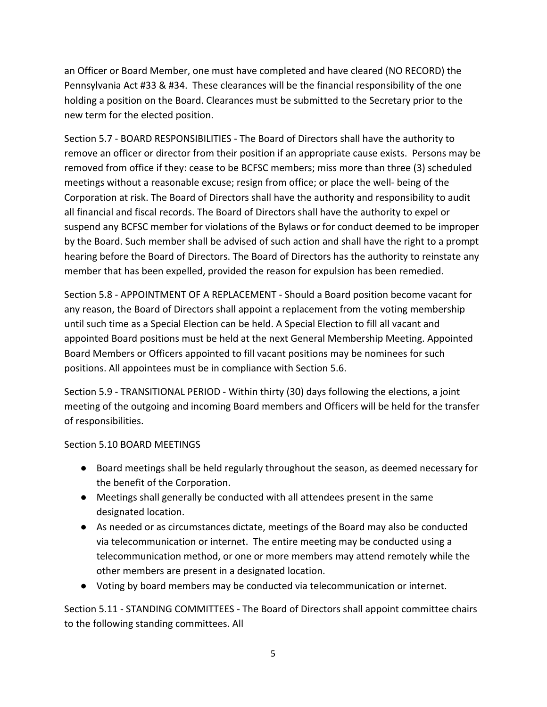an Officer or Board Member, one must have completed and have cleared (NO RECORD) the Pennsylvania Act #33 & #34. These clearances will be the financial responsibility of the one holding a position on the Board. Clearances must be submitted to the Secretary prior to the new term for the elected position.

Section 5.7 - BOARD RESPONSIBILITIES - The Board of Directors shall have the authority to remove an officer or director from their position if an appropriate cause exists. Persons may be removed from office if they: cease to be BCFSC members; miss more than three (3) scheduled meetings without a reasonable excuse; resign from office; or place the well- being of the Corporation at risk. The Board of Directors shall have the authority and responsibility to audit all financial and fiscal records. The Board of Directors shall have the authority to expel or suspend any BCFSC member for violations of the Bylaws or for conduct deemed to be improper by the Board. Such member shall be advised of such action and shall have the right to a prompt hearing before the Board of Directors. The Board of Directors has the authority to reinstate any member that has been expelled, provided the reason for expulsion has been remedied.

Section 5.8 - APPOINTMENT OF A REPLACEMENT - Should a Board position become vacant for any reason, the Board of Directors shall appoint a replacement from the voting membership until such time as a Special Election can be held. A Special Election to fill all vacant and appointed Board positions must be held at the next General Membership Meeting. Appointed Board Members or Officers appointed to fill vacant positions may be nominees for such positions. All appointees must be in compliance with Section 5.6.

Section 5.9 - TRANSITIONAL PERIOD - Within thirty (30) days following the elections, a joint meeting of the outgoing and incoming Board members and Officers will be held for the transfer of responsibilities.

## Section 5.10 BOARD MEETINGS

- Board meetings shall be held regularly throughout the season, as deemed necessary for the benefit of the Corporation.
- Meetings shall generally be conducted with all attendees present in the same designated location.
- As needed or as circumstances dictate, meetings of the Board may also be conducted via telecommunication or internet. The entire meeting may be conducted using a telecommunication method, or one or more members may attend remotely while the other members are present in a designated location.
- Voting by board members may be conducted via telecommunication or internet.

Section 5.11 - STANDING COMMITTEES - The Board of Directors shall appoint committee chairs to the following standing committees. All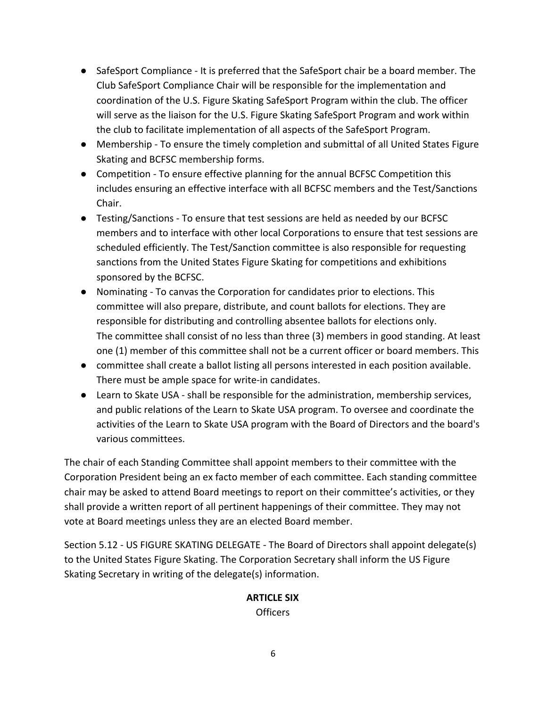- SafeSport Compliance It is preferred that the SafeSport chair be a board member. The Club SafeSport Compliance Chair will be responsible for the implementation and coordination of the U.S. Figure Skating SafeSport Program within the club. The officer will serve as the liaison for the U.S. Figure Skating SafeSport Program and work within the club to facilitate implementation of all aspects of the SafeSport Program.
- Membership To ensure the timely completion and submittal of all United States Figure Skating and BCFSC membership forms.
- Competition To ensure effective planning for the annual BCFSC Competition this includes ensuring an effective interface with all BCFSC members and the Test/Sanctions Chair.
- Testing/Sanctions To ensure that test sessions are held as needed by our BCFSC members and to interface with other local Corporations to ensure that test sessions are scheduled efficiently. The Test/Sanction committee is also responsible for requesting sanctions from the United States Figure Skating for competitions and exhibitions sponsored by the BCFSC.
- Nominating To canvas the Corporation for candidates prior to elections. This committee will also prepare, distribute, and count ballots for elections. They are responsible for distributing and controlling absentee ballots for elections only. The committee shall consist of no less than three (3) members in good standing. At least one (1) member of this committee shall not be a current officer or board members. This
- committee shall create a ballot listing all persons interested in each position available. There must be ample space for write-in candidates.
- Learn to Skate USA shall be responsible for the administration, membership services, and public relations of the Learn to Skate USA program. To oversee and coordinate the activities of the Learn to Skate USA program with the Board of Directors and the board's various committees.

The chair of each Standing Committee shall appoint members to their committee with the Corporation President being an ex facto member of each committee. Each standing committee chair may be asked to attend Board meetings to report on their committee's activities, or they shall provide a written report of all pertinent happenings of their committee. They may not vote at Board meetings unless they are an elected Board member.

Section 5.12 - US FIGURE SKATING DELEGATE - The Board of Directors shall appoint delegate(s) to the United States Figure Skating. The Corporation Secretary shall inform the US Figure Skating Secretary in writing of the delegate(s) information.

## **ARTICLE SIX**

Officers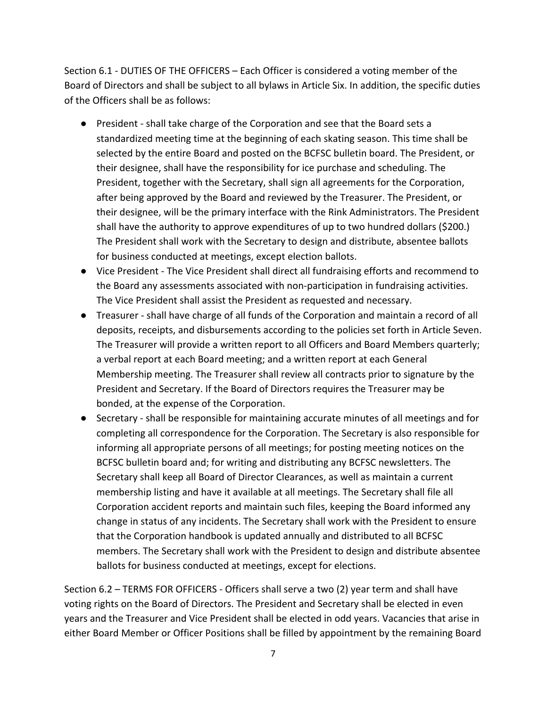Section 6.1 - DUTIES OF THE OFFICERS – Each Officer is considered a voting member of the Board of Directors and shall be subject to all bylaws in Article Six. In addition, the specific duties of the Officers shall be as follows:

- President shall take charge of the Corporation and see that the Board sets a standardized meeting time at the beginning of each skating season. This time shall be selected by the entire Board and posted on the BCFSC bulletin board. The President, or their designee, shall have the responsibility for ice purchase and scheduling. The President, together with the Secretary, shall sign all agreements for the Corporation, after being approved by the Board and reviewed by the Treasurer. The President, or their designee, will be the primary interface with the Rink Administrators. The President shall have the authority to approve expenditures of up to two hundred dollars (\$200.) The President shall work with the Secretary to design and distribute, absentee ballots for business conducted at meetings, except election ballots.
- Vice President The Vice President shall direct all fundraising efforts and recommend to the Board any assessments associated with non-participation in fundraising activities. The Vice President shall assist the President as requested and necessary.
- Treasurer shall have charge of all funds of the Corporation and maintain a record of all deposits, receipts, and disbursements according to the policies set forth in Article Seven. The Treasurer will provide a written report to all Officers and Board Members quarterly; a verbal report at each Board meeting; and a written report at each General Membership meeting. The Treasurer shall review all contracts prior to signature by the President and Secretary. If the Board of Directors requires the Treasurer may be bonded, at the expense of the Corporation.
- Secretary shall be responsible for maintaining accurate minutes of all meetings and for completing all correspondence for the Corporation. The Secretary is also responsible for informing all appropriate persons of all meetings; for posting meeting notices on the BCFSC bulletin board and; for writing and distributing any BCFSC newsletters. The Secretary shall keep all Board of Director Clearances, as well as maintain a current membership listing and have it available at all meetings. The Secretary shall file all Corporation accident reports and maintain such files, keeping the Board informed any change in status of any incidents. The Secretary shall work with the President to ensure that the Corporation handbook is updated annually and distributed to all BCFSC members. The Secretary shall work with the President to design and distribute absentee ballots for business conducted at meetings, except for elections.

Section 6.2 – TERMS FOR OFFICERS - Officers shall serve a two (2) year term and shall have voting rights on the Board of Directors. The President and Secretary shall be elected in even years and the Treasurer and Vice President shall be elected in odd years. Vacancies that arise in either Board Member or Officer Positions shall be filled by appointment by the remaining Board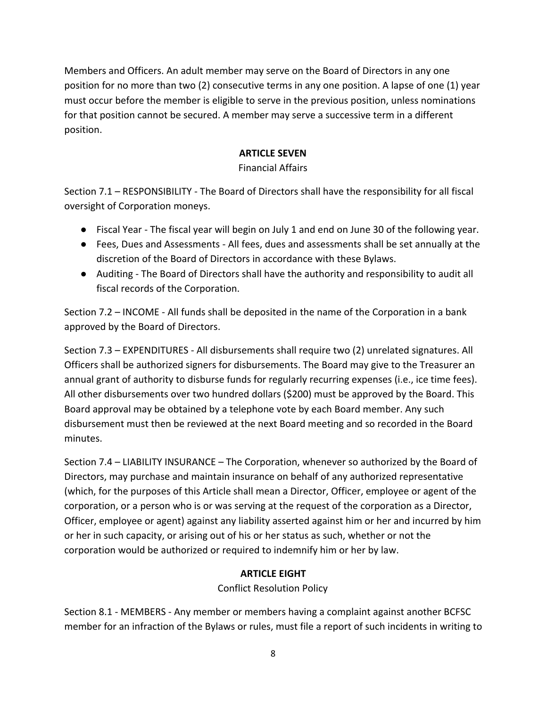Members and Officers. An adult member may serve on the Board of Directors in any one position for no more than two (2) consecutive terms in any one position. A lapse of one (1) year must occur before the member is eligible to serve in the previous position, unless nominations for that position cannot be secured. A member may serve a successive term in a different position.

#### **ARTICLE SEVEN**

#### Financial Affairs

Section 7.1 – RESPONSIBILITY - The Board of Directors shall have the responsibility for all fiscal oversight of Corporation moneys.

- Fiscal Year The fiscal year will begin on July 1 and end on June 30 of the following year.
- Fees, Dues and Assessments All fees, dues and assessments shall be set annually at the discretion of the Board of Directors in accordance with these Bylaws.
- Auditing The Board of Directors shall have the authority and responsibility to audit all fiscal records of the Corporation.

Section 7.2 – INCOME - All funds shall be deposited in the name of the Corporation in a bank approved by the Board of Directors.

Section 7.3 – EXPENDITURES - All disbursements shall require two (2) unrelated signatures. All Officers shall be authorized signers for disbursements. The Board may give to the Treasurer an annual grant of authority to disburse funds for regularly recurring expenses (i.e., ice time fees). All other disbursements over two hundred dollars (\$200) must be approved by the Board. This Board approval may be obtained by a telephone vote by each Board member. Any such disbursement must then be reviewed at the next Board meeting and so recorded in the Board minutes.

Section 7.4 – LIABILITY INSURANCE – The Corporation, whenever so authorized by the Board of Directors, may purchase and maintain insurance on behalf of any authorized representative (which, for the purposes of this Article shall mean a Director, Officer, employee or agent of the corporation, or a person who is or was serving at the request of the corporation as a Director, Officer, employee or agent) against any liability asserted against him or her and incurred by him or her in such capacity, or arising out of his or her status as such, whether or not the corporation would be authorized or required to indemnify him or her by law.

## **ARTICLE EIGHT**

Conflict Resolution Policy

Section 8.1 - MEMBERS - Any member or members having a complaint against another BCFSC member for an infraction of the Bylaws or rules, must file a report of such incidents in writing to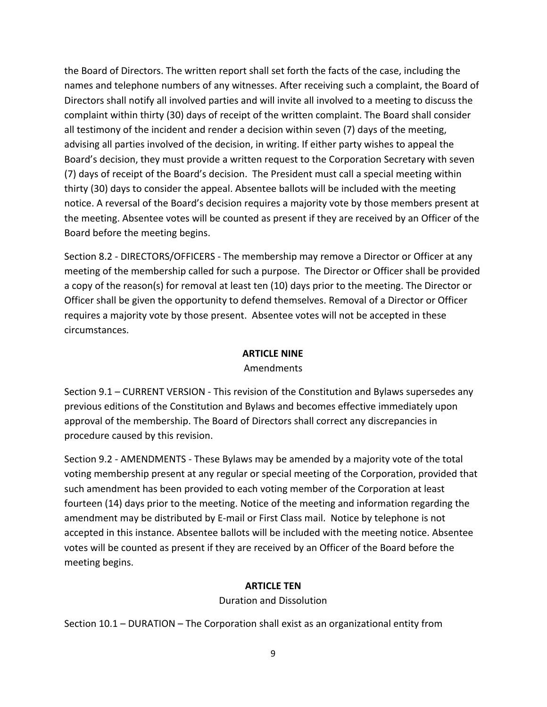the Board of Directors. The written report shall set forth the facts of the case, including the names and telephone numbers of any witnesses. After receiving such a complaint, the Board of Directors shall notify all involved parties and will invite all involved to a meeting to discuss the complaint within thirty (30) days of receipt of the written complaint. The Board shall consider all testimony of the incident and render a decision within seven (7) days of the meeting, advising all parties involved of the decision, in writing. If either party wishes to appeal the Board's decision, they must provide a written request to the Corporation Secretary with seven (7) days of receipt of the Board's decision. The President must call a special meeting within thirty (30) days to consider the appeal. Absentee ballots will be included with the meeting notice. A reversal of the Board's decision requires a majority vote by those members present at the meeting. Absentee votes will be counted as present if they are received by an Officer of the Board before the meeting begins.

Section 8.2 - DIRECTORS/OFFICERS - The membership may remove a Director or Officer at any meeting of the membership called for such a purpose. The Director or Officer shall be provided a copy of the reason(s) for removal at least ten (10) days prior to the meeting. The Director or Officer shall be given the opportunity to defend themselves. Removal of a Director or Officer requires a majority vote by those present. Absentee votes will not be accepted in these circumstances.

#### **ARTICLE NINE**

#### Amendments

Section 9.1 – CURRENT VERSION - This revision of the Constitution and Bylaws supersedes any previous editions of the Constitution and Bylaws and becomes effective immediately upon approval of the membership. The Board of Directors shall correct any discrepancies in procedure caused by this revision.

Section 9.2 - AMENDMENTS - These Bylaws may be amended by a majority vote of the total voting membership present at any regular or special meeting of the Corporation, provided that such amendment has been provided to each voting member of the Corporation at least fourteen (14) days prior to the meeting. Notice of the meeting and information regarding the amendment may be distributed by E-mail or First Class mail. Notice by telephone is not accepted in this instance. Absentee ballots will be included with the meeting notice. Absentee votes will be counted as present if they are received by an Officer of the Board before the meeting begins.

## **ARTICLE TEN**

## Duration and Dissolution

Section 10.1 – DURATION – The Corporation shall exist as an organizational entity from